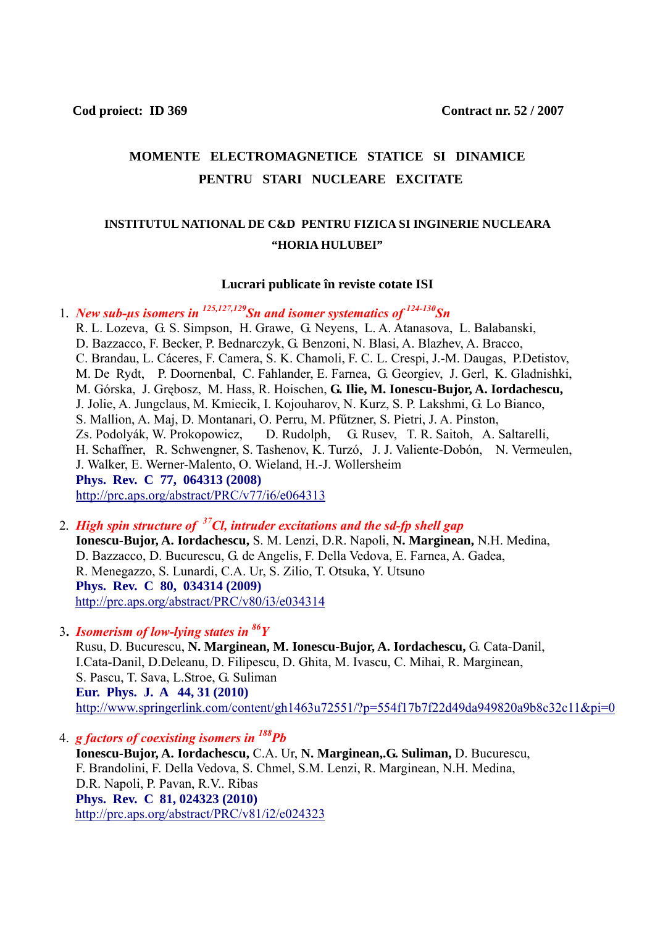## **MOMENTE ELECTROMAGNETICE STATICE SI DINAMICE PENTRU STARI NUCLEARE EXCITATE**

## **INSTITUTUL NATIONAL DE C&D PENTRU FIZICA SI INGINERIE NUCLEARA "HORIA HULUBEI"**

## **Lucrari publicate în reviste cotate ISI**

1*. New sub-µs isomers in 125,127,129Sn and isomer systematics of 124-130Sn*

 R. L. Lozeva, G. S. Simpson, H. Grawe, G. Neyens, L. A. Atanasova, L. Balabanski, D. Bazzacco, F. Becker, P. Bednarczyk, G. Benzoni, N. Blasi, A. Blazhev, A. Bracco, C. Brandau, L. Cáceres, F. Camera, S. K. Chamoli, F. C. L. Crespi, J.-M. Daugas, P.Detistov, M. De Rydt, P. Doornenbal, C. Fahlander, E. Farnea, G. Georgiev, J. Gerl, K. Gladnishki, M. Górska, J. Grębosz, M. Hass, R. Hoischen, **G. Ilie, M. Ionescu-Bujor, A. Iordachescu,** J. Jolie, A. Jungclaus, M. Kmiecik, I. Kojouharov, N. Kurz, S. P. Lakshmi, G. Lo Bianco, S. Mallion, A. Maj, D. Montanari, O. Perru, M. Pfűtzner, S. Pietri, J. A. Pinston, Zs. Podolyák, W. Prokopowicz, D. Rudolph, G. Rusev, T. R. Saitoh, A. Saltarelli, H. Schaffner, R. Schwengner, S. Tashenov, K. Turzó, J. J. Valiente-Dobón, N. Vermeulen, J. Walker, E. Werner-Malento, O. Wieland, H.-J. Wollersheim **Phys. Rev. C 77, 064313 (2008)**  <http://prc.aps.org/abstract/PRC/v77/i6/e064313>

2*. High spin structure of 37Cl, intruder excitations and the sd-fp shell gap*   **Ionescu-Bujor, A. Iordachescu,** S. M. Lenzi, D.R. Napoli, **N. Marginean,** N.H. Medina, D. Bazzacco, D. Bucurescu, G. de Angelis, F. Della Vedova, E. Farnea, A. Gadea, R. Menegazzo, S. Lunardi, C.A. Ur, S. Zilio, T. Otsuka, Y. Utsuno **Phys. Rev. C 80, 034314 (2009)**  <http://prc.aps.org/abstract/PRC/v80/i3/e034314>

3**.** *Isomerism of low-lying states in 86Y*

 Rusu, D. Bucurescu, **N. Marginean, M. Ionescu-Bujor, A. Iordachescu,** G. Cata-Danil, I.Cata-Danil, D.Deleanu, D. Filipescu, D. Ghita, M. Ivascu, C. Mihai, R. Marginean, S. Pascu, T. Sava, L.Stroe, G. Suliman  **Eur. Phys. J. A 44, 31 (2010)**  [http://www.springerlink.com/content/gh1463u72551/?p=554f17b7f22d49da949820a9b8c32c11&pi=0](http://www.springerlink.com/content/gh1463u72551/?p=554f17b7f22d49da949820a9b8c32c11&pi=0%20%20%20%20%20%20)

4. *g factors of coexisting isomers in 188Pb*

 **Ionescu-Bujor, A. Iordachescu,** C.A. Ur, **N. Marginean,.G. Suliman,** D. Bucurescu, F. Brandolini, F. Della Vedova, S. Chmel, S.M. Lenzi, R. Marginean, N.H. Medina, D.R. Napoli, P. Pavan, R.V.. Ribas **Phys. Rev. C 81, 024323 (2010)** <http://prc.aps.org/abstract/PRC/v81/i2/e024323>